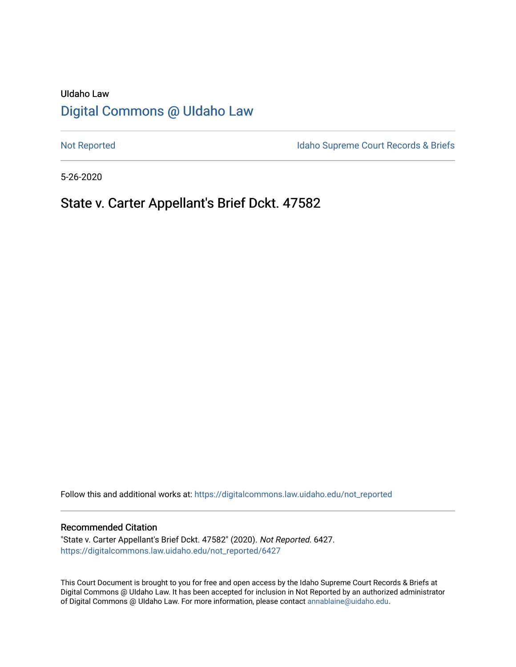# UIdaho Law [Digital Commons @ UIdaho Law](https://digitalcommons.law.uidaho.edu/)

[Not Reported](https://digitalcommons.law.uidaho.edu/not_reported) **Idaho Supreme Court Records & Briefs** 

5-26-2020

## State v. Carter Appellant's Brief Dckt. 47582

Follow this and additional works at: [https://digitalcommons.law.uidaho.edu/not\\_reported](https://digitalcommons.law.uidaho.edu/not_reported?utm_source=digitalcommons.law.uidaho.edu%2Fnot_reported%2F6427&utm_medium=PDF&utm_campaign=PDFCoverPages) 

#### Recommended Citation

"State v. Carter Appellant's Brief Dckt. 47582" (2020). Not Reported. 6427. [https://digitalcommons.law.uidaho.edu/not\\_reported/6427](https://digitalcommons.law.uidaho.edu/not_reported/6427?utm_source=digitalcommons.law.uidaho.edu%2Fnot_reported%2F6427&utm_medium=PDF&utm_campaign=PDFCoverPages)

This Court Document is brought to you for free and open access by the Idaho Supreme Court Records & Briefs at Digital Commons @ UIdaho Law. It has been accepted for inclusion in Not Reported by an authorized administrator of Digital Commons @ UIdaho Law. For more information, please contact [annablaine@uidaho.edu](mailto:annablaine@uidaho.edu).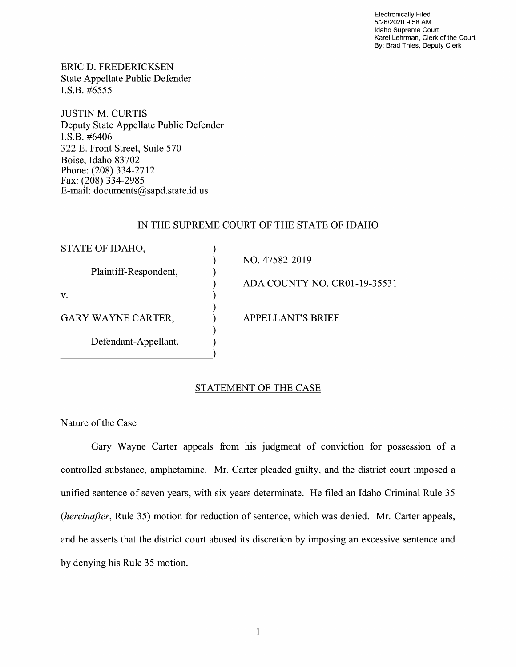Electronically Filed 5/26/2020 9:58 **AM**  Idaho Supreme Court Karel Lehrman, Clerk of the Court By: Brad Thies, Deputy Clerk

ERIC D. FREDERICKSEN State Appellate Public Defender I.S.B. #6555

JUSTIN M. CURTIS Deputy State Appellate Public Defender I.S.B. #6406 322 E. Front Street, Suite 570 Boise, Idaho 83702 Phone: (208) 334-2712 Fax: (208) 334-2985 E-mail: documents@sapd.state.id. us

### IN THE SUPREME COURT OF THE STATE OF IDAHO

| STATE OF IDAHO,           |                                     |
|---------------------------|-------------------------------------|
|                           | NO. 47582-2019                      |
| Plaintiff-Respondent,     |                                     |
|                           | <b>ADA COUNTY NO. CR01-19-35531</b> |
| V.                        |                                     |
|                           |                                     |
| <b>GARY WAYNE CARTER,</b> | <b>APPELLANT'S BRIEF</b>            |
|                           |                                     |
| Defendant-Appellant.      |                                     |
|                           |                                     |

## STATEMENT OF THE CASE

Nature of the Case

Gary Wayne Carter appeals from his judgment of conviction for possession of a controlled substance, amphetamine. Mr. Carter pleaded guilty, and the district court imposed a unified sentence of seven years, with six years determinate. He filed an Idaho Criminal Rule 35 *(hereinafter,* Rule 35) motion for reduction of sentence, which was denied. Mr. Carter appeals, and he asserts that the district court abused its discretion by imposing an excessive sentence and by denying his Rule 35 motion.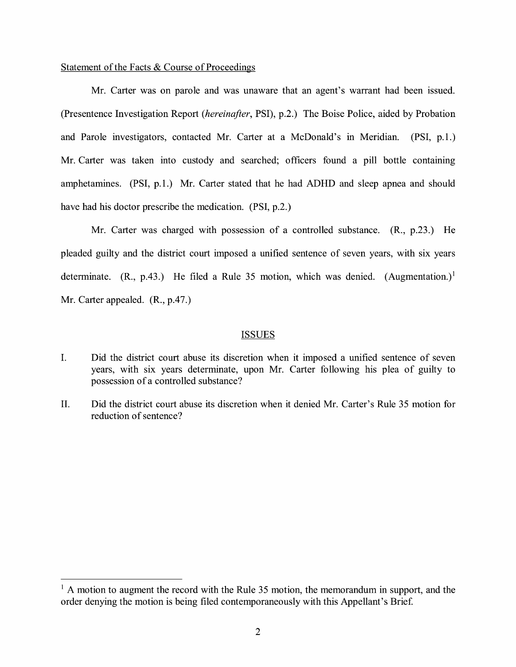#### Statement of the Facts & Course of Proceedings

Mr. Carter was on parole and was unaware that an agent's warrant had been issued. (Presentence Investigation Report *(hereinafter,* PSI), p.2.) The Boise Police, aided by Probation and Parole investigators, contacted Mr. Carter at a McDonald's in Meridian. (PSI, p.1.) Mr. Carter was taken into custody and searched; officers found a pill bottle containing amphetamines. (PSI, p.1.) Mr. Carter stated that he had ADHD and sleep apnea and should have had his doctor prescribe the medication. (PSI, p.2.)

Mr. Carter was charged with possession of a controlled substance.  $(R_{11}, p.23)$ . He pleaded guilty and the district court imposed a unified sentence of seven years, with six years determinate. (R., p.43.) He filed a Rule 35 motion, which was denied. (Augmentation.)<sup>1</sup> Mr. Carter appealed. (R., p.47.)

#### ISSUES

- I. Did the district court abuse its discretion when it imposed a unified sentence of seven years, with six years determinate, upon Mr. Carter following his plea of guilty to possession of a controlled substance?
- II. Did the district court abuse its discretion when it denied Mr. Carter's Rule 35 motion for reduction of sentence?

 $<sup>1</sup>$  A motion to augment the record with the Rule 35 motion, the memorandum in support, and the</sup> order denying the motion is being filed contemporaneously with this Appellant's Brief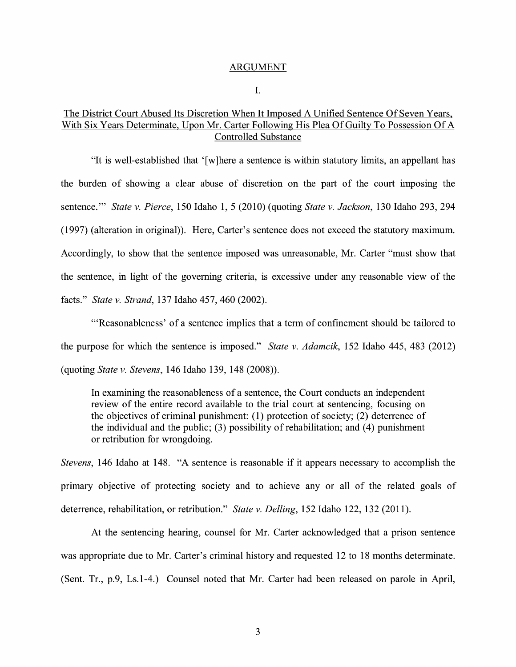#### ARGUMENT

I.

## The District Court Abused Its Discretion When It Imposed A Unified Sentence Of Seven Years, With Six Years Determinate, Upon Mr. Carter Following His Plea Of Guilty To Possession Of A Controlled Substance

"It is well-established that '[w]here a sentence is within statutory limits, an appellant has the burden of showing a clear abuse of discretion on the part of the court imposing the sentence."' *State v. Pierce,* 150 Idaho 1, 5 (2010) (quoting *State v. Jackson,* 130 Idaho 293, 294 (1997) (alteration in original)). Here, Carter's sentence does not exceed the statutory maximum. Accordingly, to show that the sentence imposed was unreasonable, Mr. Carter "must show that the sentence, in light of the governing criteria, is excessive under any reasonable view of the facts." *State v. Strand,* 137 Idaho 457, 460 (2002).

"'Reasonableness' of a sentence implies that a term of confinement should be tailored to the purpose for which the sentence is imposed." *State v. Adamcik,* 152 Idaho 445, 483 (2012) (quoting *State v. Stevens,* 146 Idaho 139, 148 (2008)).

In examining the reasonableness of a sentence, the Court conducts an independent review of the entire record available to the trial court at sentencing, focusing on the objectives of criminal punishment: (1) protection of society; (2) deterrence of the individual and the public; (3) possibility of rehabilitation; and (4) punishment or retribution for wrongdoing.

*Stevens,* 146 Idaho at 148. "A sentence is reasonable if it appears necessary to accomplish the primary objective of protecting society and to achieve any or all of the related goals of deterrence, rehabilitation, or retribution." *State v. Delling,* 152 Idaho 122, 132 (2011).

At the sentencing hearing, counsel for Mr. Carter acknowledged that a prison sentence was appropriate due to Mr. Carter's criminal history and requested 12 to 18 months determinate. (Sent. Tr., p.9, Ls.1-4.) Counsel noted that Mr. Carter had been released on parole in April,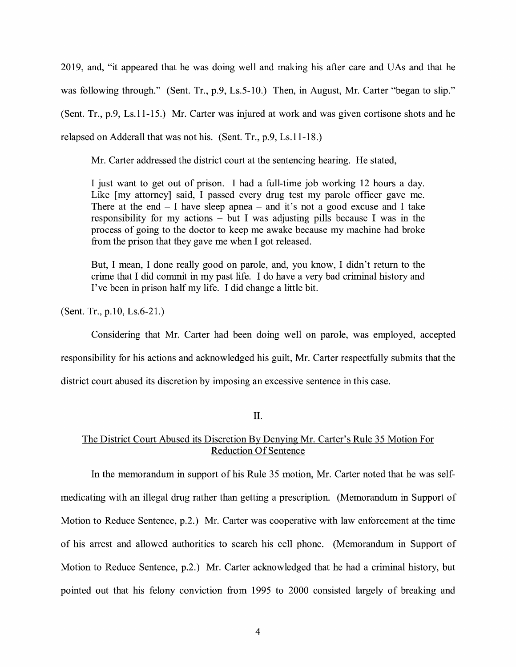2019, and, "it appeared that he was doing well and making his after care and UAs and that he was following through." (Sent. Tr., p.9, Ls. 5-10.) Then, in August, Mr. Carter "began to slip." (Sent. Tr., p.9, Ls.11-15.) Mr. Carter was injured at work and was given cortisone shots and he relapsed on Adderall that was not his. (Sent. Tr., p.9, Ls.11-18.)

Mr. Carter addressed the district court at the sentencing hearing. He stated,

I just want to get out of prison. I had a full-time job working 12 hours a day. Like [my attorney] said, I passed every drug test my parole officer gave me. There at the end  $- I$  have sleep apnea  $-$  and it's not a good excuse and I take responsibility for my actions  $-$  but I was adjusting pills because I was in the process of going to the doctor to keep me awake because my machine had broke from the prison that they gave me when I got released.

But, I mean, I done really good on parole, and, you know, I didn't return to the crime that I did commit in my past life. I do have a very bad criminal history and I've been in prison half my life. I did change a little bit.

(Sent. Tr., p.10, Ls.6-21.)

Considering that Mr. Carter had been doing well on parole, was employed, accepted responsibility for his actions and acknowledged his guilt, Mr. Carter respectfully submits that the district court abused its discretion by imposing an excessive sentence in this case.

II.

## The District Court Abused its Discretion By Denying Mr. Carter's Rule 35 Motion For Reduction Of Sentence

In the memorandum in support of his Rule 35 motion, Mr. Carter noted that he was selfmedicating with an illegal drug rather than getting a prescription. (Memorandum in Support of Motion to Reduce Sentence, p.2.) Mr. Carter was cooperative with law enforcement at the time of his arrest and allowed authorities to search his cell phone. (Memorandum in Support of Motion to Reduce Sentence, p.2.) Mr. Carter acknowledged that he had a criminal history, but pointed out that his felony conviction from 1995 to 2000 consisted largely of breaking and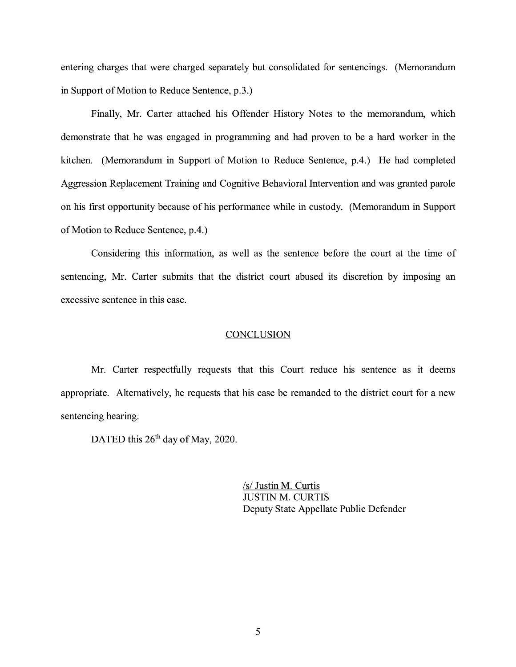entering charges that were charged separately but consolidated for sentencings. (Memorandum in Support of Motion to Reduce Sentence, p.3.)

Finally, Mr. Carter attached his Offender History Notes to the memorandum, which demonstrate that he was engaged in programming and had proven to be a hard worker in the kitchen. (Memorandum in Support of Motion to Reduce Sentence, p.4.) He had completed Aggression Replacement Training and Cognitive Behavioral Intervention and was granted parole on his first opportunity because of his performance while in custody. (Memorandum in Support of Motion to Reduce Sentence, p.4.)

Considering this information, as well as the sentence before the court at the time of sentencing, Mr. Carter submits that the district court abused its discretion by imposing an excessive sentence in this case.

#### **CONCLUSION**

Mr. Carter respectfully requests that this Court reduce his sentence as it deems appropriate. Alternatively, he requests that his case be remanded to the district court for a new sentencing hearing.

DATED this 26<sup>th</sup> day of May, 2020.

/s/ Justin M. Curtis JUSTIN M. CURTIS Deputy State Appellate Public Defender